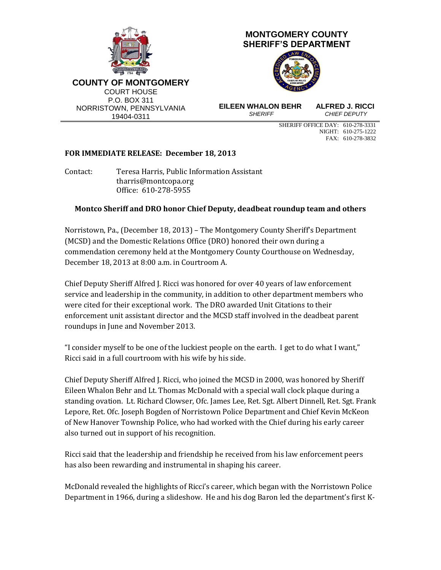

NIGHT: 610-275-1222 FAX: 610-278-3832

## **FOR IMMEDIATE RELEASE: December 18, 2013**

Contact: Teresa Harris, Public Information Assistant [tharris@montcopa.org](mailto:tharris@montcopa.org) Office: 610-278-5955

## **Montco Sheriff and DRO honor Chief Deputy, deadbeat roundup team and others**

Norristown, Pa., (December 18, 2013) – The Montgomery County Sheriff's Department (MCSD) and the Domestic Relations Office (DRO) honored their own during a commendation ceremony held at the Montgomery County Courthouse on Wednesday, December 18, 2013 at 8:00 a.m. in Courtroom A.

Chief Deputy Sheriff Alfred J. Ricci was honored for over 40 years of law enforcement service and leadership in the community, in addition to other department members who were cited for their exceptional work. The DRO awarded Unit Citations to their enforcement unit assistant director and the MCSD staff involved in the deadbeat parent roundups in June and November 2013.

"I consider myself to be one of the luckiest people on the earth. I get to do what I want," Ricci said in a full courtroom with his wife by his side.

Chief Deputy Sheriff Alfred J. Ricci, who joined the MCSD in 2000, was honored by Sheriff Eileen Whalon Behr and Lt. Thomas McDonald with a special wall clock plaque during a standing ovation. Lt. Richard Clowser, Ofc. James Lee, Ret. Sgt. Albert Dinnell, Ret. Sgt. Frank Lepore, Ret. Ofc. Joseph Bogden of Norristown Police Department and Chief Kevin McKeon of New Hanover Township Police, who had worked with the Chief during his early career also turned out in support of his recognition.

Ricci said that the leadership and friendship he received from his law enforcement peers has also been rewarding and instrumental in shaping his career.

McDonald revealed the highlights of Ricci's career, which began with the Norristown Police Department in 1966, during a slideshow. He and his dog Baron led the department's first K-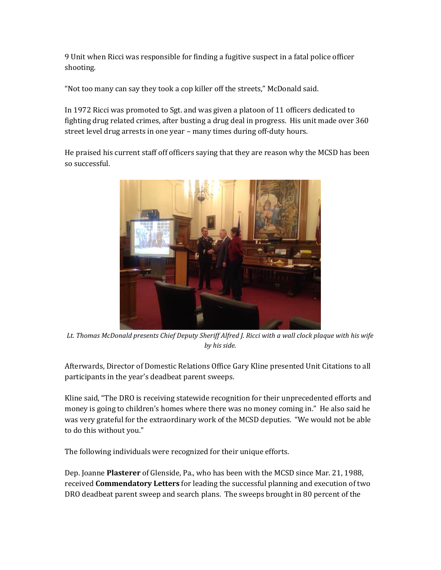9 Unit when Ricci was responsible for finding a fugitive suspect in a fatal police officer shooting.

"Not too many can say they took a cop killer off the streets," McDonald said.

In 1972 Ricci was promoted to Sgt. and was given a platoon of 11 officers dedicated to fighting drug related crimes, after busting a drug deal in progress. His unit made over 360 street level drug arrests in one year – many times during off-duty hours.

He praised his current staff off officers saying that they are reason why the MCSD has been so successful.



*Lt. Thomas McDonald presents Chief Deputy Sheriff Alfred J. Ricci with a wall clock plaque with his wife by his side.*

Afterwards, Director of Domestic Relations Office Gary Kline presented Unit Citations to all participants in the year's deadbeat parent sweeps.

Kline said, "The DRO is receiving statewide recognition for their unprecedented efforts and money is going to children's homes where there was no money coming in." He also said he was very grateful for the extraordinary work of the MCSD deputies. "We would not be able to do this without you."

The following individuals were recognized for their unique efforts.

Dep. Joanne **Plasterer** of Glenside, Pa., who has been with the MCSD since Mar. 21, 1988, received **Commendatory Letters** for leading the successful planning and execution of two DRO deadbeat parent sweep and search plans. The sweeps brought in 80 percent of the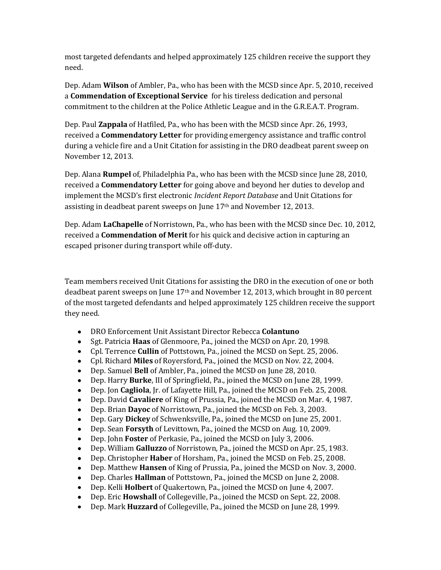most targeted defendants and helped approximately 125 children receive the support they need.

Dep. Adam **Wilson** of Ambler, Pa., who has been with the MCSD since Apr. 5, 2010, received a **Commendation of Exceptional Service** for his tireless dedication and personal commitment to the children at the Police Athletic League and in the G.R.E.A.T. Program.

Dep. Paul **Zappala** of Hatfiled, Pa., who has been with the MCSD since Apr. 26, 1993, received a **Commendatory Letter** for providing emergency assistance and traffic control during a vehicle fire and a Unit Citation for assisting in the DRO deadbeat parent sweep on November 12, 2013.

Dep. Alana **Rumpel** of, Philadelphia Pa., who has been with the MCSD since June 28, 2010, received a **Commendatory Letter** for going above and beyond her duties to develop and implement the MCSD's first electronic *Incident Report Database* and Unit Citations for assisting in deadbeat parent sweeps on June 17<sup>th</sup> and November 12, 2013.

Dep. Adam **LaChapelle** of Norristown, Pa., who has been with the MCSD since Dec. 10, 2012, received a **Commendation of Merit** for his quick and decisive action in capturing an escaped prisoner during transport while off-duty.

Team members received Unit Citations for assisting the DRO in the execution of one or both deadbeat parent sweeps on June  $17<sup>th</sup>$  and November 12, 2013, which brought in 80 percent of the most targeted defendants and helped approximately 125 children receive the support they need.

- DRO Enforcement Unit Assistant Director Rebecca **Colantuno**
- Sgt. Patricia **Haas** of Glenmoore, Pa., joined the MCSD on Apr. 20, 1998.  $\bullet$
- Cpl. Terrence **Cullin** of Pottstown, Pa., joined the MCSD on Sept. 25, 2006.  $\bullet$
- Cpl. Richard **Miles** of Royersford, Pa., joined the MCSD on Nov. 22, 2004.
- Dep. Samuel **Bell** of Ambler, Pa., joined the MCSD on June 28, 2010.  $\bullet$
- Dep. Harry **Burke**, III of Springfield, Pa., joined the MCSD on June 28, 1999.
- Dep. Jon **Cagliola**, Jr. of Lafayette Hill, Pa., joined the MCSD on Feb. 25, 2008.  $\bullet$
- Dep. David **Cavaliere** of King of Prussia, Pa., joined the MCSD on Mar. 4, 1987.  $\bullet$
- Dep. Brian **Dayoc** of Norristown, Pa., joined the MCSD on Feb. 3, 2003.  $\bullet$
- Dep. Gary **Dickey** of Schwenksville, Pa., joined the MCSD on June 25, 2001.  $\bullet$
- Dep. Sean **Forsyth** of Levittown, Pa., joined the MCSD on Aug. 10, 2009.  $\bullet$
- Dep. John **Foster** of Perkasie, Pa., joined the MCSD on July 3, 2006.  $\bullet$
- Dep. William **Galluzzo** of Norristown, Pa., joined the MCSD on Apr. 25, 1983.
- $\bullet$ Dep. Christopher **Haber** of Horsham, Pa., joined the MCSD on Feb. 25, 2008.
- Dep. Matthew **Hansen** of King of Prussia, Pa., joined the MCSD on Nov. 3, 2000.  $\bullet$
- Dep. Charles **Hallman** of Pottstown, Pa., joined the MCSD on June 2, 2008.  $\bullet$
- Dep. Kelli **Holbert** of Quakertown, Pa., joined the MCSD on June 4, 2007.
- Dep. Eric **Howshall** of Collegeville, Pa., joined the MCSD on Sept. 22, 2008.
- Dep. Mark **Huzzard** of Collegeville, Pa., joined the MCSD on June 28, 1999. $\bullet$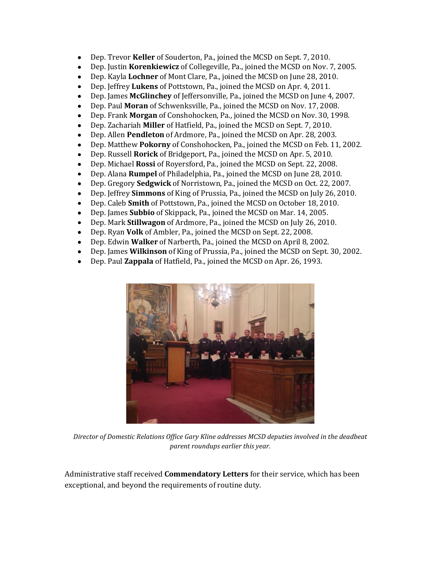- Dep. Trevor **Keller** of Souderton, Pa., joined the MCSD on Sept. 7, 2010.  $\bullet$
- Dep. Justin **Korenkiewicz** of Collegeville, Pa., joined the MCSD on Nov. 7, 2005.
- Dep. Kayla **Lochner** of Mont Clare, Pa., joined the MCSD on June 28, 2010.  $\bullet$
- $\bullet$ Dep. Jeffrey **Lukens** of Pottstown, Pa., joined the MCSD on Apr. 4, 2011.
- Dep. James **McGlinchey** of Jeffersonville, Pa., joined the MCSD on June 4, 2007.  $\bullet$
- Dep. Paul **Moran** of Schwenksville, Pa., joined the MCSD on Nov. 17, 2008.
- Dep. Frank **Morgan** of Conshohocken, Pa., joined the MCSD on Nov. 30, 1998.  $\bullet$
- Dep. Zachariah **Miller** of Hatfield, Pa., joined the MCSD on Sept. 7, 2010.  $\bullet$
- Dep. Allen **Pendleton** of Ardmore, Pa., joined the MCSD on Apr. 28, 2003.  $\bullet$
- Dep. Matthew **Pokorny** of Conshohocken, Pa., joined the MCSD on Feb. 11, 2002.
- Dep. Russell **Rorick** of Bridgeport, Pa., joined the MCSD on Apr. 5, 2010.  $\bullet$
- Dep. Michael **Rossi** of Royersford, Pa., joined the MCSD on Sept. 22, 2008.  $\bullet$
- Dep. Alana **Rumpel** of Philadelphia, Pa., joined the MCSD on June 28, 2010.  $\bullet$
- Dep. Gregory **Sedgwick** of Norristown, Pa., joined the MCSD on Oct. 22, 2007.  $\bullet$
- Dep. Jeffrey **Simmons** of King of Prussia, Pa., joined the MCSD on July 26, 2010.  $\bullet$
- Dep. Caleb **Smith** of Pottstown, Pa., joined the MCSD on October 18, 2010.  $\bullet$
- Dep. James **Subbio** of Skippack, Pa., joined the MCSD on Mar. 14, 2005.
- Dep. Mark **Stillwagon** of Ardmore, Pa., joined the MCSD on July 26, 2010.  $\bullet$
- $\bullet$ Dep. Ryan **Volk** of Ambler, Pa., joined the MCSD on Sept. 22, 2008.
- Dep. Edwin **Walker** of Narberth, Pa., joined the MCSD on April 8, 2002.  $\bullet$
- Dep. James **Wilkinson** of King of Prussia, Pa., joined the MCSD on Sept. 30, 2002.  $\bullet$
- Dep. Paul **Zappala** of Hatfield, Pa., joined the MCSD on Apr. 26, 1993.  $\bullet$



*Director of Domestic Relations Office Gary Kline addresses MCSD deputies involved in the deadbeat parent roundups earlier this year.*

Administrative staff received **Commendatory Letters** for their service, which has been exceptional, and beyond the requirements of routine duty.